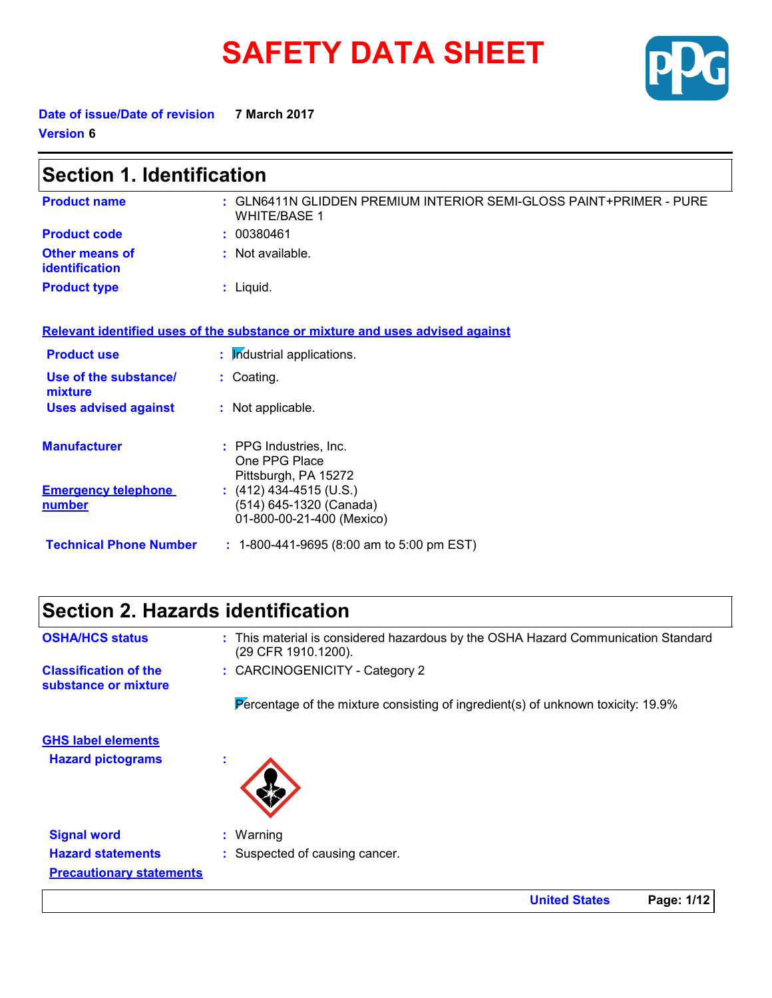# **SAFETY DATA SHEET**



**Date of issue/Date of revision 7 March 2017 Version 6**

| <b>Section 1. Identification</b>                                              |                                                                                           |  |  |
|-------------------------------------------------------------------------------|-------------------------------------------------------------------------------------------|--|--|
| <b>Product name</b>                                                           | : GLN6411N GLIDDEN PREMIUM INTERIOR SEMI-GLOSS PAINT+PRIMER - PURE<br><b>WHITE/BASE 1</b> |  |  |
| <b>Product code</b>                                                           | : 00380461                                                                                |  |  |
| <b>Other means of</b><br>identification                                       | : Not available.                                                                          |  |  |
| <b>Product type</b>                                                           | : Liquid.                                                                                 |  |  |
| Relevant identified uses of the substance or mixture and uses advised against |                                                                                           |  |  |
| <b>Product use</b>                                                            | : Industrial applications.                                                                |  |  |
| Use of the substance/<br>mixture                                              | : Coating.                                                                                |  |  |
| <b>Uses advised against</b>                                                   | : Not applicable.                                                                         |  |  |
| <b>Manufacturer</b>                                                           | : PPG Industries, Inc.<br>One PPG Place<br>Pittsburgh, PA 15272                           |  |  |
| <b>Emergency telephone</b><br>number                                          | : $(412)$ 434-4515 (U.S.)<br>(514) 645-1320 (Canada)<br>01-800-00-21-400 (Mexico)         |  |  |

**Technical Phone Number :** 1-800-441-9695 (8:00 am to 5:00 pm EST)

# **Section 2. Hazards identification**

| <b>OSHA/HCS status</b>                                | : This material is considered hazardous by the OSHA Hazard Communication Standard<br>(29 CFR 1910.1200). |
|-------------------------------------------------------|----------------------------------------------------------------------------------------------------------|
| <b>Classification of the</b><br>substance or mixture  | : CARCINOGENICITY - Category 2                                                                           |
|                                                       | Percentage of the mixture consisting of ingredient(s) of unknown toxicity: 19.9%                         |
| <b>GHS label elements</b><br><b>Hazard pictograms</b> |                                                                                                          |
| <b>Signal word</b>                                    | $:$ Warning                                                                                              |
| <b>Hazard statements</b>                              | : Suspected of causing cancer.                                                                           |
| <b>Precautionary statements</b>                       |                                                                                                          |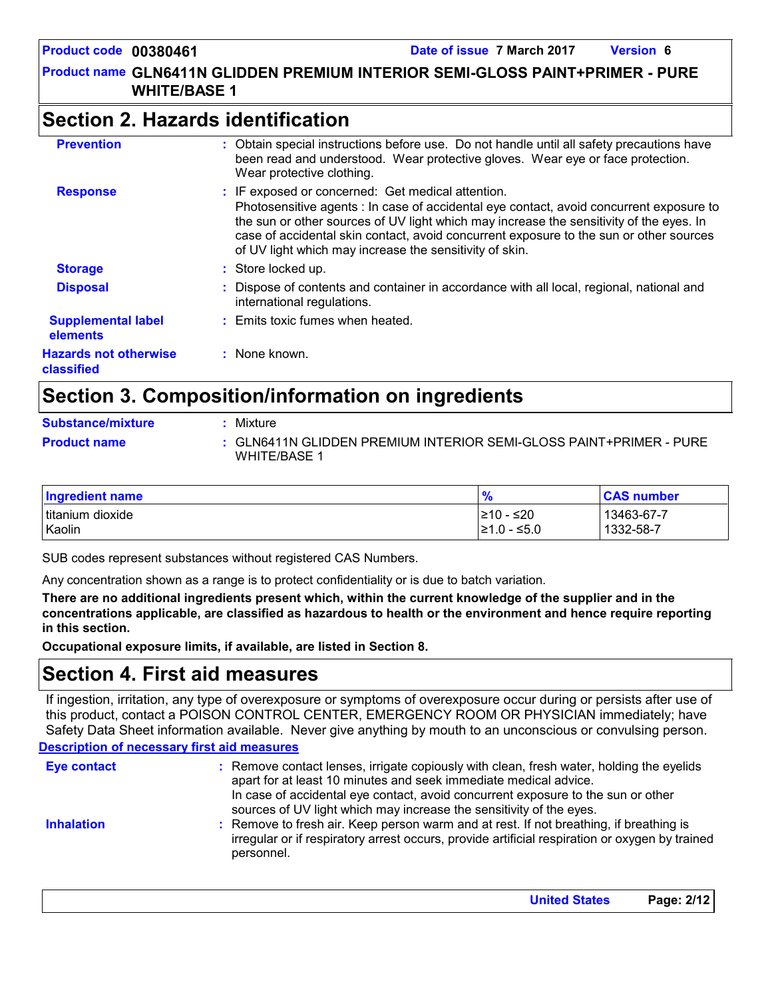#### **Product name GLN6411N GLIDDEN PREMIUM INTERIOR SEMI-GLOSS PAINT+PRIMER - PURE WHITE/BASE 1**

### **Section 2. Hazards identification**

| <b>Prevention</b>                          | : Obtain special instructions before use. Do not handle until all safety precautions have<br>been read and understood. Wear protective gloves. Wear eye or face protection.<br>Wear protective clothing.                                                                                                                                                                                     |
|--------------------------------------------|----------------------------------------------------------------------------------------------------------------------------------------------------------------------------------------------------------------------------------------------------------------------------------------------------------------------------------------------------------------------------------------------|
| <b>Response</b>                            | : IF exposed or concerned: Get medical attention.<br>Photosensitive agents : In case of accidental eye contact, avoid concurrent exposure to<br>the sun or other sources of UV light which may increase the sensitivity of the eyes. In<br>case of accidental skin contact, avoid concurrent exposure to the sun or other sources<br>of UV light which may increase the sensitivity of skin. |
| <b>Storage</b>                             | : Store locked up.                                                                                                                                                                                                                                                                                                                                                                           |
| <b>Disposal</b>                            | : Dispose of contents and container in accordance with all local, regional, national and<br>international regulations.                                                                                                                                                                                                                                                                       |
| <b>Supplemental label</b><br>elements      | : Emits toxic fumes when heated.                                                                                                                                                                                                                                                                                                                                                             |
| <b>Hazards not otherwise</b><br>classified | : None known.                                                                                                                                                                                                                                                                                                                                                                                |
|                                            |                                                                                                                                                                                                                                                                                                                                                                                              |

## **Section 3. Composition/information on ingredients**

**Substance/mixture :**

#### Mixture

Product name  $\cdot$  : GLN6411N GLIDDEN PREMIUM INTERIOR SEMI-GLOSS PAINT+PRIMER - PURE WHITE/BASE 1

| Ingredient name  | $\frac{9}{6}$ | <b>CAS number</b> |
|------------------|---------------|-------------------|
| titanium dioxide | i≥10 - ≤20    | 13463-67-7        |
| Kaolin           | l≥1.0 - ≤5.0  | 1332-58-7         |

SUB codes represent substances without registered CAS Numbers.

Any concentration shown as a range is to protect confidentiality or is due to batch variation.

**There are no additional ingredients present which, within the current knowledge of the supplier and in the concentrations applicable, are classified as hazardous to health or the environment and hence require reporting in this section.**

**Occupational exposure limits, if available, are listed in Section 8.**

### **Section 4. First aid measures**

**Description of necessary first aid measures** If ingestion, irritation, any type of overexposure or symptoms of overexposure occur during or persists after use of this product, contact a POISON CONTROL CENTER, EMERGENCY ROOM OR PHYSICIAN immediately; have Safety Data Sheet information available. Never give anything by mouth to an unconscious or convulsing person.

| <b>Eye contact</b> | : Remove contact lenses, irrigate copiously with clean, fresh water, holding the eyelids<br>apart for at least 10 minutes and seek immediate medical advice.<br>In case of accidental eye contact, avoid concurrent exposure to the sun or other<br>sources of UV light which may increase the sensitivity of the eyes. |
|--------------------|-------------------------------------------------------------------------------------------------------------------------------------------------------------------------------------------------------------------------------------------------------------------------------------------------------------------------|
| <b>Inhalation</b>  | : Remove to fresh air. Keep person warm and at rest. If not breathing, if breathing is<br>irregular or if respiratory arrest occurs, provide artificial respiration or oxygen by trained<br>personnel.                                                                                                                  |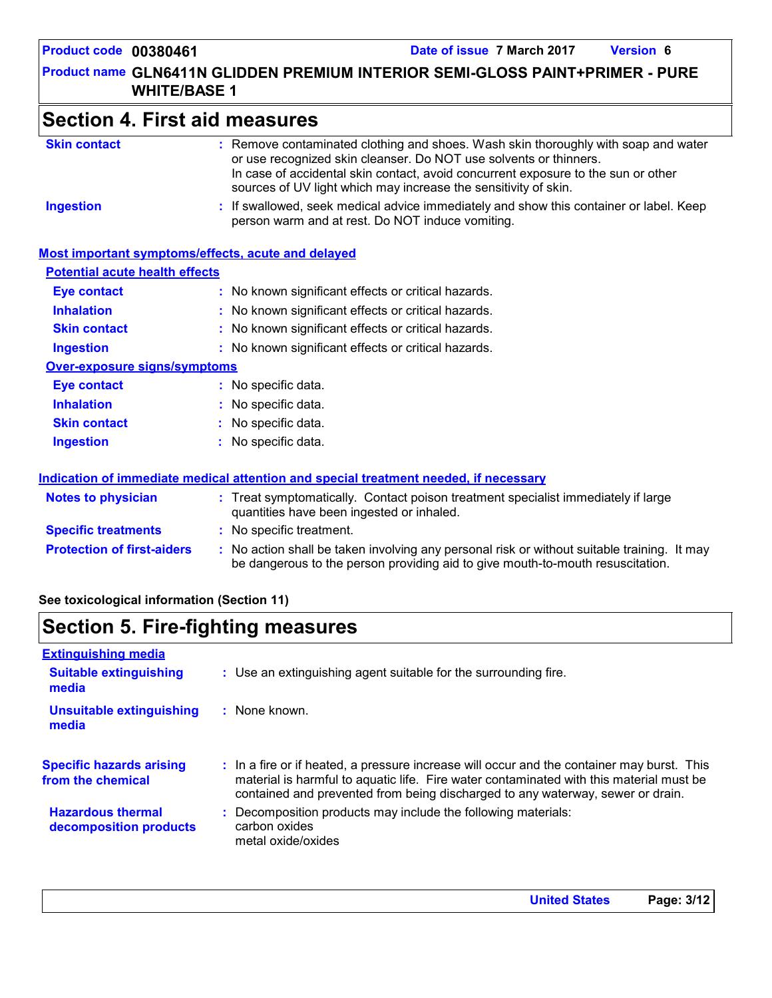#### **Product name GLN6411N GLIDDEN PREMIUM INTERIOR SEMI-GLOSS PAINT+PRIMER - PURE WHITE/BASE 1**

#### **Section 4. First aid measures Skin contact Ingestion : :** Remove contaminated clothing and shoes. Wash skin thoroughly with soap and water **Protection of first-aiders :** No action shall be taken involving any personal risk or without suitable training. It may be dangerous to the person providing aid to give mouth-to-mouth resuscitation. **Notes to physician <b>:** Treat symptomatically. Contact poison treatment specialist immediately if large quantities have been ingested or inhaled. **Specific treatments :** No specific treatment. **Most important symptoms/effects, acute and delayed Inhalation : Ingestion : Skin contact : Eye contact : Over-exposure signs/symptoms Skin contact Ingestion Inhalation :** No specific data. No specific data. **:** No specific data. **: Eye contact :** No specific data. **Potential acute health effects Indication of immediate medical attention and special treatment needed, if necessary** In case of accidental skin contact, avoid concurrent exposure to the sun or other sources of UV light which may increase the sensitivity of skin. or use recognized skin cleanser. Do NOT use solvents or thinners. If swallowed, seek medical advice immediately and show this container or label. Keep person warm and at rest. Do NOT induce vomiting. : No known significant effects or critical hazards. : No known significant effects or critical hazards. : No known significant effects or critical hazards. : No known significant effects or critical hazards.

#### **See toxicological information (Section 11)**

# **Section 5. Fire-fighting measures**

| <b>Extinguishing media</b>                           |                                                                                                                                                                                                                                                                         |
|------------------------------------------------------|-------------------------------------------------------------------------------------------------------------------------------------------------------------------------------------------------------------------------------------------------------------------------|
| <b>Suitable extinguishing</b><br>media               | : Use an extinguishing agent suitable for the surrounding fire.                                                                                                                                                                                                         |
| <b>Unsuitable extinguishing</b><br>media             | $:$ None known.                                                                                                                                                                                                                                                         |
| <b>Specific hazards arising</b><br>from the chemical | : In a fire or if heated, a pressure increase will occur and the container may burst. This<br>material is harmful to aquatic life. Fire water contaminated with this material must be<br>contained and prevented from being discharged to any waterway, sewer or drain. |
| <b>Hazardous thermal</b><br>decomposition products   | : Decomposition products may include the following materials:<br>carbon oxides<br>metal oxide/oxides                                                                                                                                                                    |
|                                                      |                                                                                                                                                                                                                                                                         |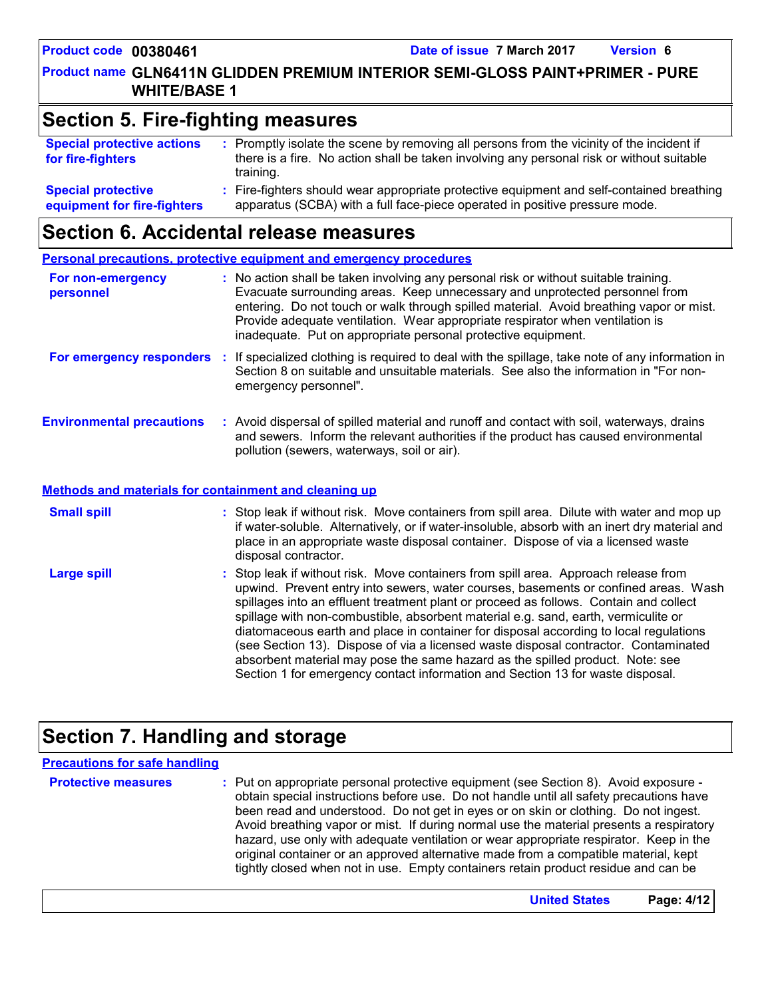#### **Product name GLN6411N GLIDDEN PREMIUM INTERIOR SEMI-GLOSS PAINT+PRIMER - PURE WHITE/BASE 1**

### **Section 5. Fire-fighting measures**

| <b>Special protective actions</b><br>for fire-fighters   | : Promptly isolate the scene by removing all persons from the vicinity of the incident if<br>there is a fire. No action shall be taken involving any personal risk or without suitable<br>training. |
|----------------------------------------------------------|-----------------------------------------------------------------------------------------------------------------------------------------------------------------------------------------------------|
| <b>Special protective</b><br>equipment for fire-fighters | : Fire-fighters should wear appropriate protective equipment and self-contained breathing<br>apparatus (SCBA) with a full face-piece operated in positive pressure mode.                            |

### **Section 6. Accidental release measures**

#### **Personal precautions, protective equipment and emergency procedures**

| For non-emergency<br>personnel                               | : No action shall be taken involving any personal risk or without suitable training.<br>Evacuate surrounding areas. Keep unnecessary and unprotected personnel from<br>entering. Do not touch or walk through spilled material. Avoid breathing vapor or mist.<br>Provide adequate ventilation. Wear appropriate respirator when ventilation is<br>inadequate. Put on appropriate personal protective equipment.                                                                                                                          |
|--------------------------------------------------------------|-------------------------------------------------------------------------------------------------------------------------------------------------------------------------------------------------------------------------------------------------------------------------------------------------------------------------------------------------------------------------------------------------------------------------------------------------------------------------------------------------------------------------------------------|
| For emergency responders                                     | : If specialized clothing is required to deal with the spillage, take note of any information in<br>Section 8 on suitable and unsuitable materials. See also the information in "For non-<br>emergency personnel".                                                                                                                                                                                                                                                                                                                        |
| <b>Environmental precautions</b>                             | : Avoid dispersal of spilled material and runoff and contact with soil, waterways, drains<br>and sewers. Inform the relevant authorities if the product has caused environmental<br>pollution (sewers, waterways, soil or air).                                                                                                                                                                                                                                                                                                           |
| <b>Methods and materials for containment and cleaning up</b> |                                                                                                                                                                                                                                                                                                                                                                                                                                                                                                                                           |
| <b>Small spill</b>                                           | : Stop leak if without risk. Move containers from spill area. Dilute with water and mop up<br>if water-soluble. Alternatively, or if water-insoluble, absorb with an inert dry material and<br>place in an appropriate waste disposal container. Dispose of via a licensed waste<br>disposal contractor.                                                                                                                                                                                                                                  |
| <b>Large spill</b>                                           | : Stop leak if without risk. Move containers from spill area. Approach release from<br>upwind. Prevent entry into sewers, water courses, basements or confined areas. Wash<br>spillages into an effluent treatment plant or proceed as follows. Contain and collect<br>spillage with non-combustible, absorbent material e.g. sand, earth, vermiculite or<br>diatomaceous earth and place in container for disposal according to local regulations<br>(see Section 13). Dispose of via a licensed waste disposal contractor. Contaminated |

**Section 7. Handling and storage**

#### **Protective measures** : Put on appropriate personal protective equipment (see Section 8). Avoid exposure obtain special instructions before use. Do not handle until all safety precautions have been read and understood. Do not get in eyes or on skin or clothing. Do not ingest. Avoid breathing vapor or mist. If during normal use the material presents a respiratory hazard, use only with adequate ventilation or wear appropriate respirator. Keep in the original container or an approved alternative made from a compatible material, kept tightly closed when not in use. Empty containers retain product residue and can be **Precautions for safe handling**

absorbent material may pose the same hazard as the spilled product. Note: see Section 1 for emergency contact information and Section 13 for waste disposal.

| <b>United States</b> | Page: 4/12 |
|----------------------|------------|
|----------------------|------------|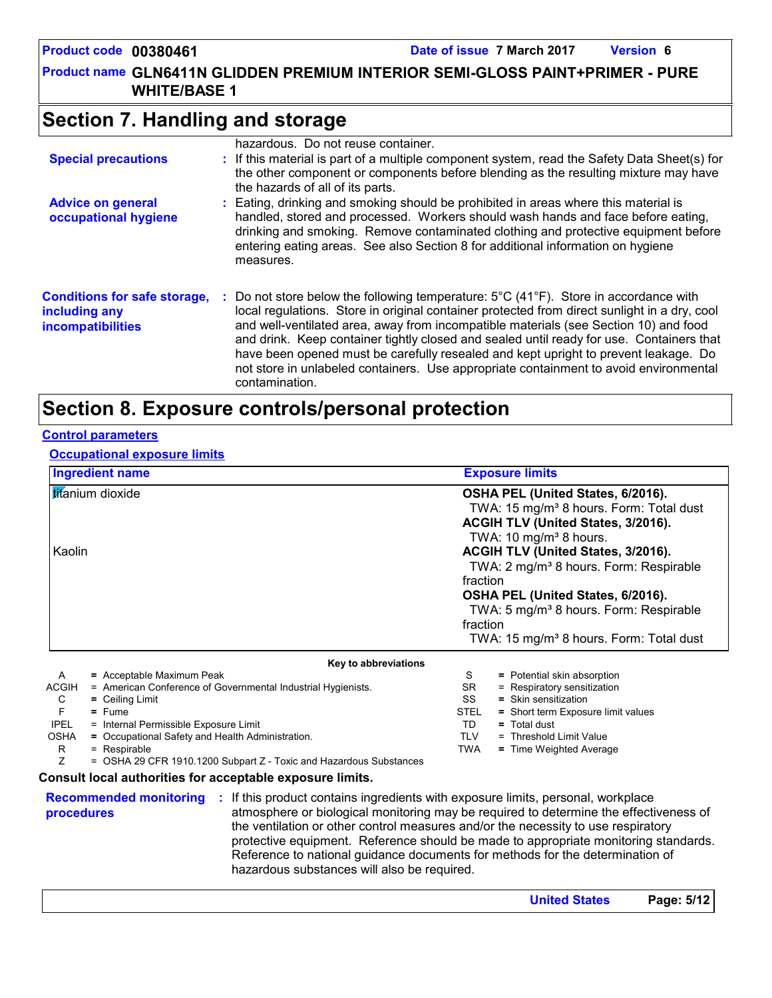**Product name GLN6411N GLIDDEN PREMIUM INTERIOR SEMI-GLOSS PAINT+PRIMER - PURE WHITE/BASE 1**

# **Section 7. Handling and storage**

| <b>Special precautions</b>                                                       | hazardous. Do not reuse container.<br>: If this material is part of a multiple component system, read the Safety Data Sheet(s) for<br>the other component or components before blending as the resulting mixture may have<br>the hazards of all of its parts.                                                                                                                                                                                                                                                                                                                                   |
|----------------------------------------------------------------------------------|-------------------------------------------------------------------------------------------------------------------------------------------------------------------------------------------------------------------------------------------------------------------------------------------------------------------------------------------------------------------------------------------------------------------------------------------------------------------------------------------------------------------------------------------------------------------------------------------------|
| <b>Advice on general</b><br>occupational hygiene                                 | : Eating, drinking and smoking should be prohibited in areas where this material is<br>handled, stored and processed. Workers should wash hands and face before eating,<br>drinking and smoking. Remove contaminated clothing and protective equipment before<br>entering eating areas. See also Section 8 for additional information on hygiene<br>measures.                                                                                                                                                                                                                                   |
| <b>Conditions for safe storage,</b><br>including any<br><b>incompatibilities</b> | : Do not store below the following temperature: $5^{\circ}$ C (41 $^{\circ}$ F). Store in accordance with<br>local regulations. Store in original container protected from direct sunlight in a dry, cool<br>and well-ventilated area, away from incompatible materials (see Section 10) and food<br>and drink. Keep container tightly closed and sealed until ready for use. Containers that<br>have been opened must be carefully resealed and kept upright to prevent leakage. Do<br>not store in unlabeled containers. Use appropriate containment to avoid environmental<br>contamination. |

# **Section 8. Exposure controls/personal protection**

#### **Control parameters**

#### **Occupational exposure limits**

| <b>Ingredient name</b>                                                                                                                                                                                                                                                                                                                                                                                                                                                  | <b>Exposure limits</b>                                                                                                                                                                                                                                                                                                                                                                                                                     |
|-------------------------------------------------------------------------------------------------------------------------------------------------------------------------------------------------------------------------------------------------------------------------------------------------------------------------------------------------------------------------------------------------------------------------------------------------------------------------|--------------------------------------------------------------------------------------------------------------------------------------------------------------------------------------------------------------------------------------------------------------------------------------------------------------------------------------------------------------------------------------------------------------------------------------------|
| titanium dioxide<br>Kaolin                                                                                                                                                                                                                                                                                                                                                                                                                                              | OSHA PEL (United States, 6/2016).<br>TWA: 15 mg/m <sup>3</sup> 8 hours. Form: Total dust<br>ACGIH TLV (United States, 3/2016).<br>TWA: 10 mg/m <sup>3</sup> 8 hours.<br>ACGIH TLV (United States, 3/2016).<br>TWA: 2 mg/m <sup>3</sup> 8 hours. Form: Respirable<br>fraction<br>OSHA PEL (United States, 6/2016).<br>TWA: 5 mg/m <sup>3</sup> 8 hours. Form: Respirable<br>fraction<br>TWA: 15 mg/m <sup>3</sup> 8 hours. Form: Total dust |
| Key to abbreviations<br>= Acceptable Maximum Peak<br>A<br><b>ACGIH</b><br>= American Conference of Governmental Industrial Hygienists.<br>C<br>= Ceiling Limit<br>F<br>$=$ Fume<br><b>IPEL</b><br>= Internal Permissible Exposure Limit<br><b>OSHA</b><br>= Occupational Safety and Health Administration.<br>R<br>= Respirable<br>= OSHA 29 CFR 1910.1200 Subpart Z - Toxic and Hazardous Substances<br>Z<br>Consult local authorities for acceptable exposure limits. | = Potential skin absorption<br>S<br><b>SR</b><br>= Respiratory sensitization<br>SS<br>= Skin sensitization<br><b>STEL</b><br>= Short term Exposure limit values<br>TD.<br>$=$ Total dust<br><b>TLV</b><br>= Threshold Limit Value<br><b>TWA</b><br>= Time Weighted Average                                                                                                                                                                 |
| <b>Recommended monitoring :</b><br>procedures<br>hazardous substances will also be required.                                                                                                                                                                                                                                                                                                                                                                            | If this product contains ingredients with exposure limits, personal, workplace<br>atmosphere or biological monitoring may be required to determine the effectiveness of<br>the ventilation or other control measures and/or the necessity to use respiratory<br>protective equipment. Reference should be made to appropriate monitoring standards.<br>Reference to national guidance documents for methods for the determination of       |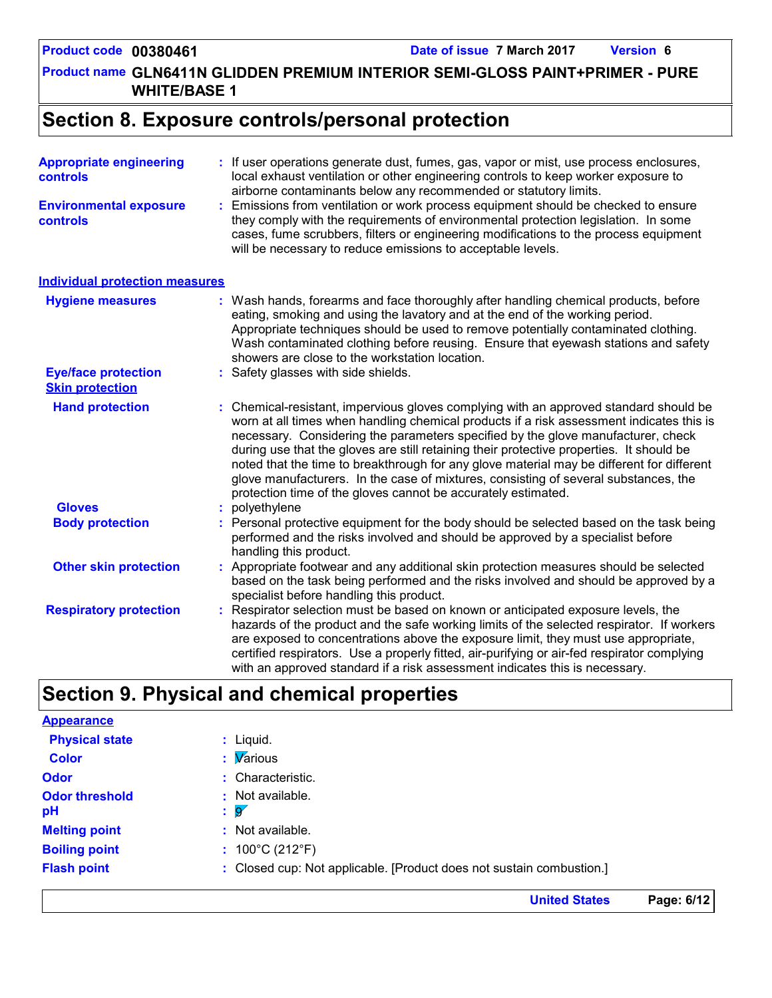**United States Page: 6/12**

**Product name GLN6411N GLIDDEN PREMIUM INTERIOR SEMI-GLOSS PAINT+PRIMER - PURE WHITE/BASE 1**

## **Section 8. Exposure controls/personal protection**

| <b>Appropriate engineering</b><br>controls           | If user operations generate dust, fumes, gas, vapor or mist, use process enclosures,<br>local exhaust ventilation or other engineering controls to keep worker exposure to<br>airborne contaminants below any recommended or statutory limits.                                                                                                                                                                                                                                                                                                                                                                         |
|------------------------------------------------------|------------------------------------------------------------------------------------------------------------------------------------------------------------------------------------------------------------------------------------------------------------------------------------------------------------------------------------------------------------------------------------------------------------------------------------------------------------------------------------------------------------------------------------------------------------------------------------------------------------------------|
| <b>Environmental exposure</b><br><b>controls</b>     | Emissions from ventilation or work process equipment should be checked to ensure<br>they comply with the requirements of environmental protection legislation. In some<br>cases, fume scrubbers, filters or engineering modifications to the process equipment<br>will be necessary to reduce emissions to acceptable levels.                                                                                                                                                                                                                                                                                          |
| <b>Individual protection measures</b>                |                                                                                                                                                                                                                                                                                                                                                                                                                                                                                                                                                                                                                        |
| <b>Hygiene measures</b>                              | Wash hands, forearms and face thoroughly after handling chemical products, before<br>eating, smoking and using the lavatory and at the end of the working period.<br>Appropriate techniques should be used to remove potentially contaminated clothing.<br>Wash contaminated clothing before reusing. Ensure that eyewash stations and safety<br>showers are close to the workstation location.                                                                                                                                                                                                                        |
| <b>Eye/face protection</b><br><b>Skin protection</b> | : Safety glasses with side shields.                                                                                                                                                                                                                                                                                                                                                                                                                                                                                                                                                                                    |
| <b>Hand protection</b>                               | : Chemical-resistant, impervious gloves complying with an approved standard should be<br>worn at all times when handling chemical products if a risk assessment indicates this is<br>necessary. Considering the parameters specified by the glove manufacturer, check<br>during use that the gloves are still retaining their protective properties. It should be<br>noted that the time to breakthrough for any glove material may be different for different<br>glove manufacturers. In the case of mixtures, consisting of several substances, the<br>protection time of the gloves cannot be accurately estimated. |
| <b>Gloves</b>                                        | polyethylene                                                                                                                                                                                                                                                                                                                                                                                                                                                                                                                                                                                                           |
| <b>Body protection</b>                               | Personal protective equipment for the body should be selected based on the task being<br>performed and the risks involved and should be approved by a specialist before<br>handling this product.                                                                                                                                                                                                                                                                                                                                                                                                                      |
| <b>Other skin protection</b>                         | Appropriate footwear and any additional skin protection measures should be selected<br>based on the task being performed and the risks involved and should be approved by a<br>specialist before handling this product.                                                                                                                                                                                                                                                                                                                                                                                                |
| <b>Respiratory protection</b>                        | Respirator selection must be based on known or anticipated exposure levels, the<br>hazards of the product and the safe working limits of the selected respirator. If workers<br>are exposed to concentrations above the exposure limit, they must use appropriate,<br>certified respirators. Use a properly fitted, air-purifying or air-fed respirator complying<br>with an approved standard if a risk assessment indicates this is necessary.                                                                                                                                                                       |

# **Section 9. Physical and chemical properties**

| <b>Appearance</b>     |                                                                      |
|-----------------------|----------------------------------------------------------------------|
| <b>Physical state</b> | $:$ Liquid.                                                          |
| <b>Color</b>          | $\mathbf{W}$ arious                                                  |
| <b>Odor</b>           | : Characteristic.                                                    |
| <b>Odor threshold</b> | $:$ Not available.                                                   |
| pH                    | $\overline{\mathbf{g}}$<br>-11                                       |
| <b>Melting point</b>  | Not available.<br>t.                                                 |
| <b>Boiling point</b>  | : $100^{\circ}$ C (212 $^{\circ}$ F)                                 |
| <b>Flash point</b>    | : Closed cup: Not applicable. [Product does not sustain combustion.] |
|                       |                                                                      |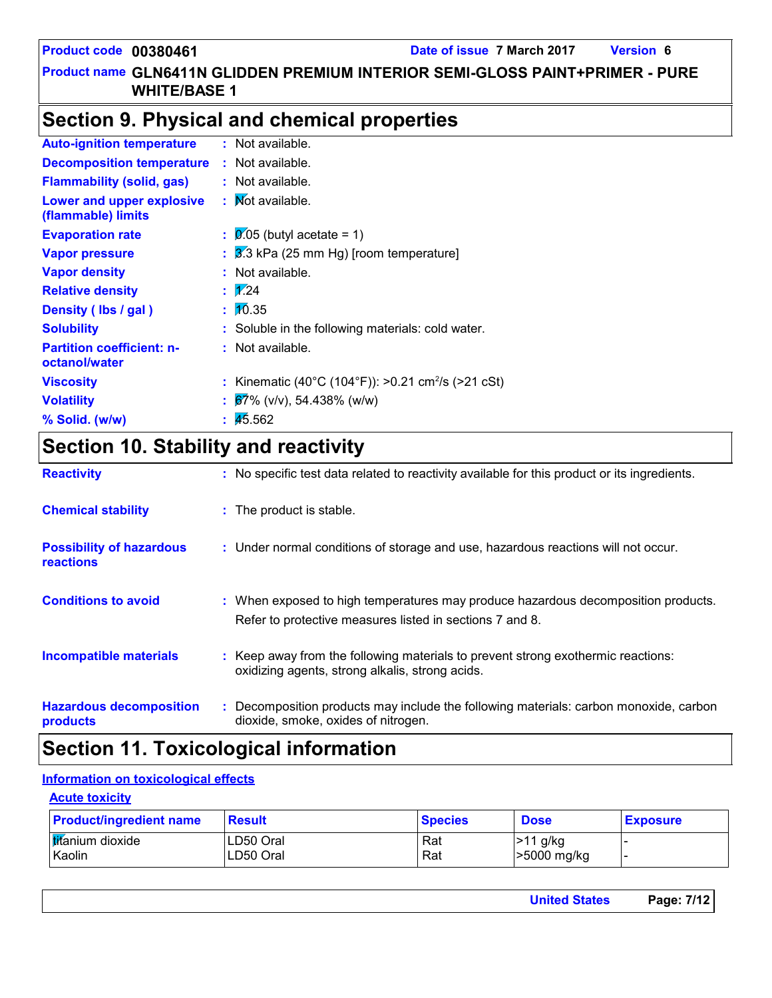#### **Product name GLN6411N GLIDDEN PREMIUM INTERIOR SEMI-GLOSS PAINT+PRIMER - PURE WHITE/BASE 1**

# **Section 9. Physical and chemical properties**

| <b>Auto-ignition temperature</b>                  | $:$ Not available.                                             |
|---------------------------------------------------|----------------------------------------------------------------|
| <b>Decomposition temperature</b>                  | : Not available.                                               |
| <b>Flammability (solid, gas)</b>                  | $:$ Not available.                                             |
| Lower and upper explosive<br>(flammable) limits   | : Mot available.                                               |
| <b>Evaporation rate</b>                           | $\therefore$ 0.05 (butyl acetate = 1)                          |
| <b>Vapor pressure</b>                             | $\frac{1}{2}$ $\frac{1}{2}$ kPa (25 mm Hg) [room temperature]  |
| <b>Vapor density</b>                              | : Not available.                                               |
| <b>Relative density</b>                           | $\mathbb{Z}$ 24                                                |
| Density (lbs / gal)                               | $\frac{1}{20}$ .35                                             |
| <b>Solubility</b>                                 | : Soluble in the following materials: cold water.              |
| <b>Partition coefficient: n-</b><br>octanol/water | : Not available.                                               |
| <b>Viscosity</b>                                  | : Kinematic (40°C (104°F)): >0.21 cm <sup>2</sup> /s (>21 cSt) |
| <b>Volatility</b>                                 | $\frac{1}{2}$ 67% (v/v), 54.438% (w/w)                         |
| % Solid. (w/w)                                    | $\frac{1}{45.562}$                                             |
|                                                   |                                                                |

# **Section 10. Stability and reactivity**

| <b>Reactivity</b>                            | : No specific test data related to reactivity available for this product or its ingredients.                                                  |
|----------------------------------------------|-----------------------------------------------------------------------------------------------------------------------------------------------|
| <b>Chemical stability</b>                    | : The product is stable.                                                                                                                      |
| <b>Possibility of hazardous</b><br>reactions | : Under normal conditions of storage and use, hazardous reactions will not occur.                                                             |
| <b>Conditions to avoid</b>                   | : When exposed to high temperatures may produce hazardous decomposition products.<br>Refer to protective measures listed in sections 7 and 8. |
| <b>Incompatible materials</b>                | : Keep away from the following materials to prevent strong exothermic reactions:<br>oxidizing agents, strong alkalis, strong acids.           |
| <b>Hazardous decomposition</b><br>products   | Decomposition products may include the following materials: carbon monoxide, carbon<br>dioxide, smoke, oxides of nitrogen.                    |

# **Section 11. Toxicological information**

#### **Information on toxicological effects**

| <b>Acute toxicity</b>              |                        |                |                           |                 |
|------------------------------------|------------------------|----------------|---------------------------|-----------------|
| <b>Product/ingredient name</b>     | <b>Result</b>          | <b>Species</b> | <b>Dose</b>               | <b>Exposure</b> |
| <b>Iti</b> anium dioxide<br>Kaolin | LD50 Oral<br>LD50 Oral | Rat<br>Rat     | $>11$ g/kg<br>>5000 mg/kg |                 |

| <b>United States</b> | Page: 7/12 |
|----------------------|------------|
|                      |            |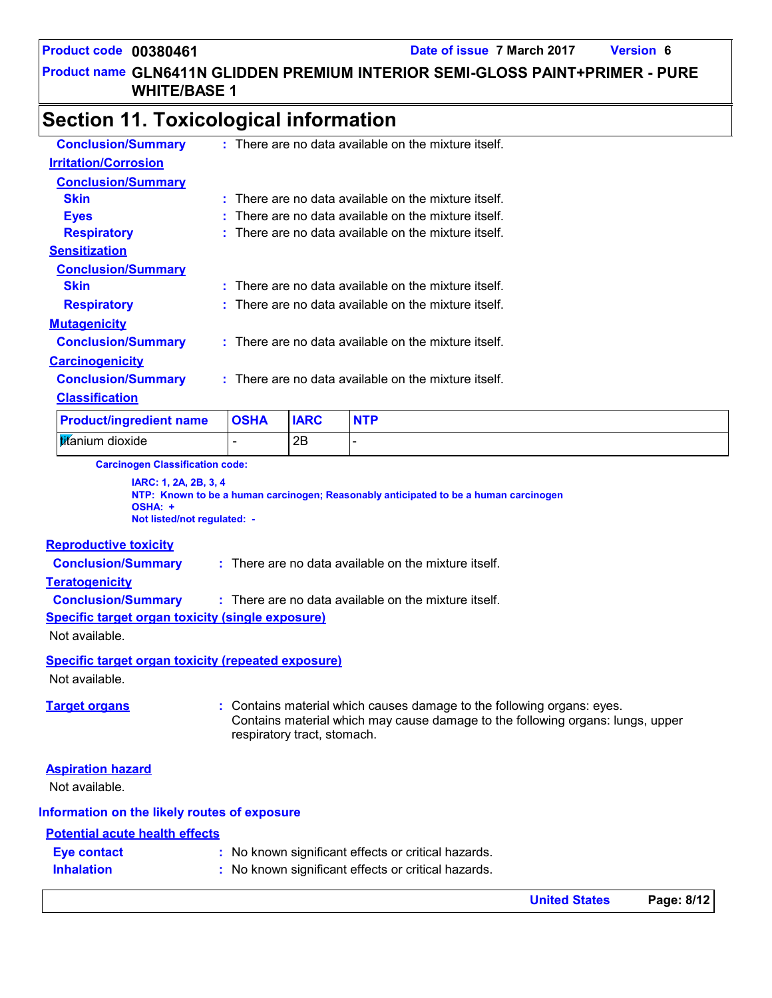**Product name GLN6411N GLIDDEN PREMIUM INTERIOR SEMI-GLOSS PAINT+PRIMER - PURE WHITE/BASE 1**

# **Section 11. Toxicological information**

| <b>Conclusion/Summary</b>      |    |             |             | $:$ There are no data available on the mixture itself. |
|--------------------------------|----|-------------|-------------|--------------------------------------------------------|
| <b>Irritation/Corrosion</b>    |    |             |             |                                                        |
| <b>Conclusion/Summary</b>      |    |             |             |                                                        |
| <b>Skin</b>                    | t. |             |             | There are no data available on the mixture itself.     |
| <b>Eyes</b>                    | ٠  |             |             | There are no data available on the mixture itself.     |
| <b>Respiratory</b>             |    |             |             | There are no data available on the mixture itself.     |
| <b>Sensitization</b>           |    |             |             |                                                        |
| <b>Conclusion/Summary</b>      |    |             |             |                                                        |
| <b>Skin</b>                    | t. |             |             | There are no data available on the mixture itself.     |
| <b>Respiratory</b>             | ÷  |             |             | There are no data available on the mixture itself.     |
| <b>Mutagenicity</b>            |    |             |             |                                                        |
| <b>Conclusion/Summary</b>      |    |             |             | There are no data available on the mixture itself.     |
| <b>Carcinogenicity</b>         |    |             |             |                                                        |
| <b>Conclusion/Summary</b>      |    |             |             | There are no data available on the mixture itself.     |
| <b>Classification</b>          |    |             |             |                                                        |
| <b>Product/ingredient name</b> |    | <b>OSHA</b> | <b>IARC</b> | <b>NTP</b>                                             |
| titanium dioxide               |    |             | 2Β          | -                                                      |

**Carcinogen Classification code:**

**IARC: 1, 2A, 2B, 3, 4 NTP: Known to be a human carcinogen; Reasonably anticipated to be a human carcinogen OSHA: + Not listed/not regulated: -**

#### **Reproductive toxicity**

**Conclusion/Summary :** : There are no data available on the mixture itself.

#### **Teratogenicity**

**Conclusion/Summary :** There are no data available on the mixture itself.

**Specific target organ toxicity (single exposure)**

Not available.

#### **Specific target organ toxicity (repeated exposure)**

Not available.

**Target organs :** Contains material which causes damage to the following organs: eyes. Contains material which may cause damage to the following organs: lungs, upper respiratory tract, stomach.

#### **Aspiration hazard**

Not available.

#### **Information on the likely routes of exposure**

#### **Potential acute health effects**

| <b>Eye contact</b> | : No known significant effects or critical hazards. |
|--------------------|-----------------------------------------------------|
| <b>Inhalation</b>  | : No known significant effects or critical hazards. |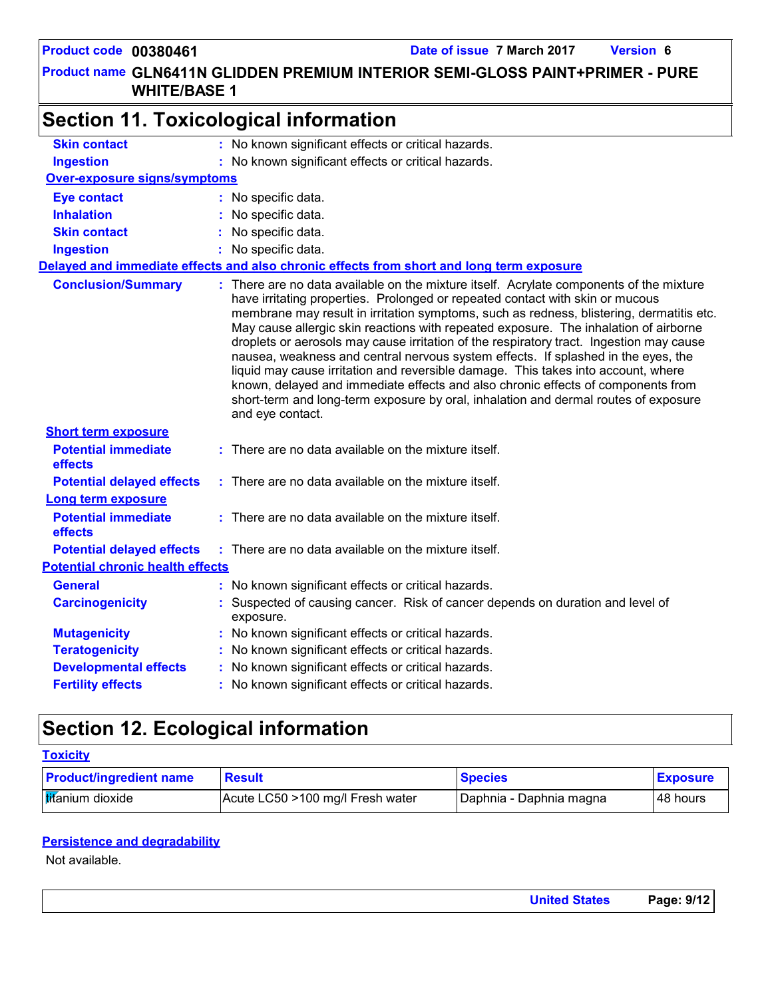#### **Product name GLN6411N GLIDDEN PREMIUM INTERIOR SEMI-GLOSS PAINT+PRIMER - PURE WHITE/BASE 1**

|                                         | <b>Section 11. Toxicological information</b>                                                                                                                                                                                                                                                                                                                                                                                                                                                                                                                                                                                                                                                                                                                                                                                     |
|-----------------------------------------|----------------------------------------------------------------------------------------------------------------------------------------------------------------------------------------------------------------------------------------------------------------------------------------------------------------------------------------------------------------------------------------------------------------------------------------------------------------------------------------------------------------------------------------------------------------------------------------------------------------------------------------------------------------------------------------------------------------------------------------------------------------------------------------------------------------------------------|
| <b>Skin contact</b>                     | No known significant effects or critical hazards.                                                                                                                                                                                                                                                                                                                                                                                                                                                                                                                                                                                                                                                                                                                                                                                |
| <b>Ingestion</b>                        | : No known significant effects or critical hazards.                                                                                                                                                                                                                                                                                                                                                                                                                                                                                                                                                                                                                                                                                                                                                                              |
| Over-exposure signs/symptoms            |                                                                                                                                                                                                                                                                                                                                                                                                                                                                                                                                                                                                                                                                                                                                                                                                                                  |
| <b>Eye contact</b>                      | : No specific data.                                                                                                                                                                                                                                                                                                                                                                                                                                                                                                                                                                                                                                                                                                                                                                                                              |
| <b>Inhalation</b>                       | : No specific data.                                                                                                                                                                                                                                                                                                                                                                                                                                                                                                                                                                                                                                                                                                                                                                                                              |
| <b>Skin contact</b>                     | No specific data.                                                                                                                                                                                                                                                                                                                                                                                                                                                                                                                                                                                                                                                                                                                                                                                                                |
| <b>Ingestion</b>                        | No specific data.                                                                                                                                                                                                                                                                                                                                                                                                                                                                                                                                                                                                                                                                                                                                                                                                                |
|                                         | Delayed and immediate effects and also chronic effects from short and long term exposure                                                                                                                                                                                                                                                                                                                                                                                                                                                                                                                                                                                                                                                                                                                                         |
| <b>Conclusion/Summary</b>               | : There are no data available on the mixture itself. Acrylate components of the mixture<br>have irritating properties. Prolonged or repeated contact with skin or mucous<br>membrane may result in irritation symptoms, such as redness, blistering, dermatitis etc.<br>May cause allergic skin reactions with repeated exposure. The inhalation of airborne<br>droplets or aerosols may cause irritation of the respiratory tract. Ingestion may cause<br>nausea, weakness and central nervous system effects. If splashed in the eyes, the<br>liquid may cause irritation and reversible damage. This takes into account, where<br>known, delayed and immediate effects and also chronic effects of components from<br>short-term and long-term exposure by oral, inhalation and dermal routes of exposure<br>and eye contact. |
| <b>Short term exposure</b>              |                                                                                                                                                                                                                                                                                                                                                                                                                                                                                                                                                                                                                                                                                                                                                                                                                                  |
| <b>Potential immediate</b><br>effects   | : There are no data available on the mixture itself.                                                                                                                                                                                                                                                                                                                                                                                                                                                                                                                                                                                                                                                                                                                                                                             |
| <b>Potential delayed effects</b>        | : There are no data available on the mixture itself.                                                                                                                                                                                                                                                                                                                                                                                                                                                                                                                                                                                                                                                                                                                                                                             |
| <b>Long term exposure</b>               |                                                                                                                                                                                                                                                                                                                                                                                                                                                                                                                                                                                                                                                                                                                                                                                                                                  |
| <b>Potential immediate</b><br>effects   | : There are no data available on the mixture itself.                                                                                                                                                                                                                                                                                                                                                                                                                                                                                                                                                                                                                                                                                                                                                                             |
| <b>Potential delayed effects</b>        | : There are no data available on the mixture itself.                                                                                                                                                                                                                                                                                                                                                                                                                                                                                                                                                                                                                                                                                                                                                                             |
| <b>Potential chronic health effects</b> |                                                                                                                                                                                                                                                                                                                                                                                                                                                                                                                                                                                                                                                                                                                                                                                                                                  |
| General                                 | : No known significant effects or critical hazards.                                                                                                                                                                                                                                                                                                                                                                                                                                                                                                                                                                                                                                                                                                                                                                              |
| <b>Carcinogenicity</b>                  | Suspected of causing cancer. Risk of cancer depends on duration and level of<br>exposure.                                                                                                                                                                                                                                                                                                                                                                                                                                                                                                                                                                                                                                                                                                                                        |
| <b>Mutagenicity</b>                     | : No known significant effects or critical hazards.                                                                                                                                                                                                                                                                                                                                                                                                                                                                                                                                                                                                                                                                                                                                                                              |
| <b>Teratogenicity</b>                   | No known significant effects or critical hazards.                                                                                                                                                                                                                                                                                                                                                                                                                                                                                                                                                                                                                                                                                                                                                                                |
| <b>Developmental effects</b>            | No known significant effects or critical hazards.                                                                                                                                                                                                                                                                                                                                                                                                                                                                                                                                                                                                                                                                                                                                                                                |
| <b>Fertility effects</b>                | No known significant effects or critical hazards.                                                                                                                                                                                                                                                                                                                                                                                                                                                                                                                                                                                                                                                                                                                                                                                |
|                                         |                                                                                                                                                                                                                                                                                                                                                                                                                                                                                                                                                                                                                                                                                                                                                                                                                                  |

# **Section 12. Ecological information**

| <b>Toxicity</b>                |                                  |                         |                 |
|--------------------------------|----------------------------------|-------------------------|-----------------|
| <b>Product/ingredient name</b> | <b>Result</b>                    | <b>Species</b>          | <b>Exposure</b> |
| <b>titanium</b> dioxide        | Acute LC50 >100 mg/l Fresh water | Daphnia - Daphnia magna | l 48 hours      |

#### **Persistence and degradability**

Not available.

| Page: 9/12 |
|------------|
|            |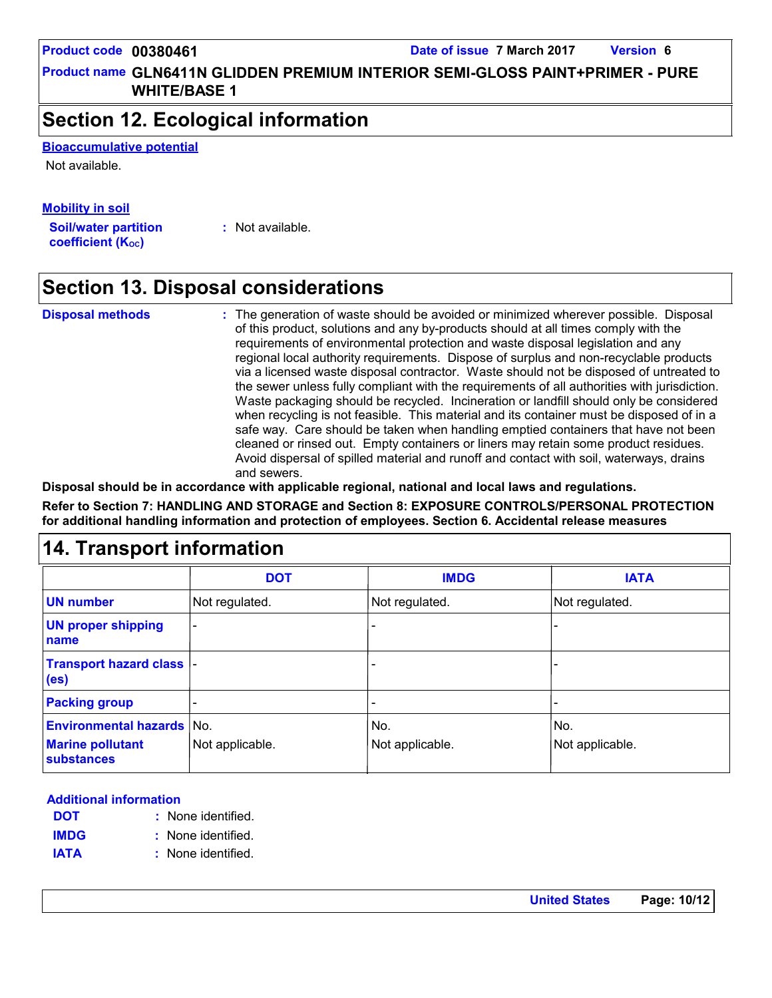**Product name GLN6411N GLIDDEN PREMIUM INTERIOR SEMI-GLOSS PAINT+PRIMER - PURE WHITE/BASE 1**

### **Section 12. Ecological information**

**Bioaccumulative potential**

Not available.

**Mobility in soil**

**Soil/water partition coefficient (K**<sub>oc</sub>)

**:** Not available.

# **Section 13. Disposal considerations**

The generation of waste should be avoided or minimized wherever possible. Disposal of this product, solutions and any by-products should at all times comply with the requirements of environmental protection and waste disposal legislation and any regional local authority requirements. Dispose of surplus and non-recyclable products via a licensed waste disposal contractor. Waste should not be disposed of untreated to the sewer unless fully compliant with the requirements of all authorities with jurisdiction. Waste packaging should be recycled. Incineration or landfill should only be considered when recycling is not feasible. This material and its container must be disposed of in a safe way. Care should be taken when handling emptied containers that have not been cleaned or rinsed out. Empty containers or liners may retain some product residues. Avoid dispersal of spilled material and runoff and contact with soil, waterways, drains and sewers. **Disposal methods :**

**Disposal should be in accordance with applicable regional, national and local laws and regulations.**

**Refer to Section 7: HANDLING AND STORAGE and Section 8: EXPOSURE CONTROLS/PERSONAL PROTECTION for additional handling information and protection of employees. Section 6. Accidental release measures**

# **14. Transport information**

|                                                       | <b>DOT</b>      | <b>IMDG</b>     | <b>IATA</b>     |
|-------------------------------------------------------|-----------------|-----------------|-----------------|
| <b>UN number</b>                                      | Not regulated.  | Not regulated.  | Not regulated.  |
| <b>UN proper shipping</b><br>name                     |                 |                 |                 |
| <b>Transport hazard class  -</b><br>(e <sub>s</sub> ) |                 |                 |                 |
| <b>Packing group</b>                                  |                 |                 |                 |
| <b>Environmental hazards No.</b>                      |                 | No.             | No.             |
| <b>Marine pollutant</b><br><b>substances</b>          | Not applicable. | Not applicable. | Not applicable. |

#### **Additional information**

- None identified. **: DOT**
- None identified. **: IMDG**
- **IATA :** None identified.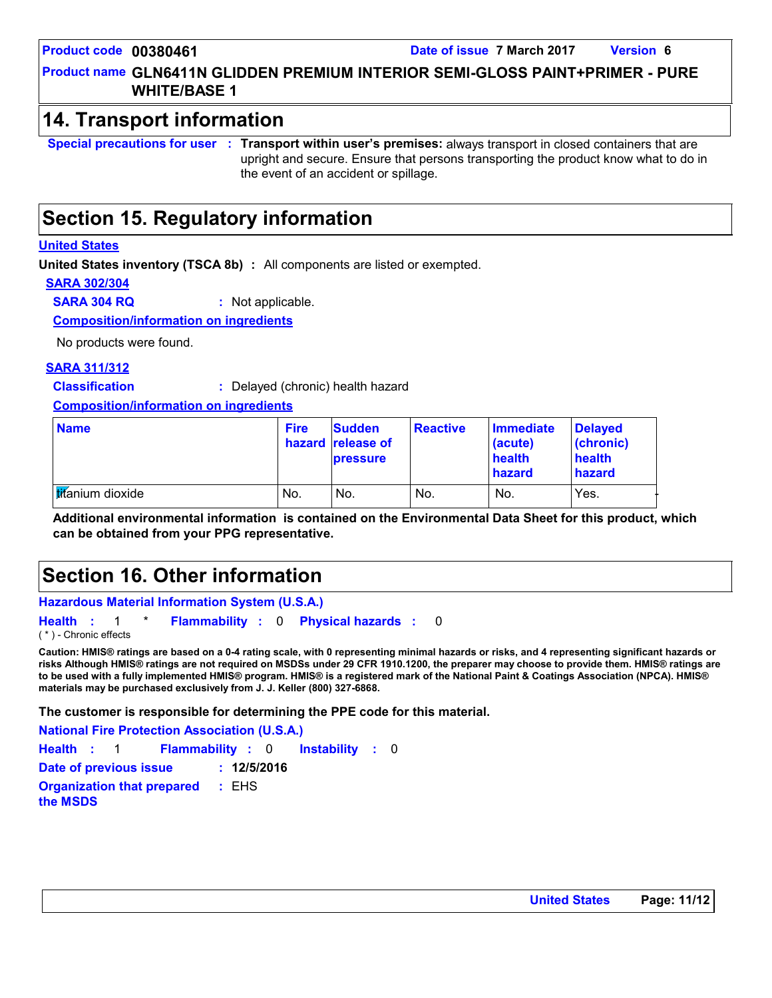#### **Product name GLN6411N GLIDDEN PREMIUM INTERIOR SEMI-GLOSS PAINT+PRIMER - PURE WHITE/BASE 1**

### **14. Transport information**

**Special precautions for user Transport within user's premises:** always transport in closed containers that are **:** upright and secure. Ensure that persons transporting the product know what to do in the event of an accident or spillage.

### **Section 15. Regulatory information**

#### **United States**

**United States inventory (TSCA 8b) :** All components are listed or exempted.

**SARA 302/304**

**SARA 304 RQ :** Not applicable.

**Composition/information on ingredients**

No products were found.

#### **SARA 311/312**

**Classification :** Delayed (chronic) health hazard

**Composition/information on ingredients**

| <b>Name</b>              | <b>Fire</b> | <b>Sudden</b><br>hazard release of<br><b>pressure</b> | <b>Reactive</b> | Immediate<br>(acute)<br>health<br>hazard | Delayed<br>(chronic)<br>health<br>hazard |
|--------------------------|-------------|-------------------------------------------------------|-----------------|------------------------------------------|------------------------------------------|
| <b>Ititanium</b> dioxide | No.         | No.                                                   | No.             | No.                                      | Yes.                                     |

**Additional environmental information is contained on the Environmental Data Sheet for this product, which can be obtained from your PPG representative.**

### **Section 16. Other information**

#### **Hazardous Material Information System (U.S.A.)**

**Health** : 1 \* **Flammability** : 0 **Physical hazards** : 0 0 ( \* ) - Chronic effects

**Caution: HMIS® ratings are based on a 0-4 rating scale, with 0 representing minimal hazards or risks, and 4 representing significant hazards or risks Although HMIS® ratings are not required on MSDSs under 29 CFR 1910.1200, the preparer may choose to provide them. HMIS® ratings are to be used with a fully implemented HMIS® program. HMIS® is a registered mark of the National Paint & Coatings Association (NPCA). HMIS® materials may be purchased exclusively from J. J. Keller (800) 327-6868.**

**The customer is responsible for determining the PPE code for this material.**

Instability : 0 **National Fire Protection Association (U.S.A.) Health**: 1 **Flammability**: 0 **Instability**: 0 **Date of previous issue : 12/5/2016 Organization that prepared :** EHS

**the MSDS**